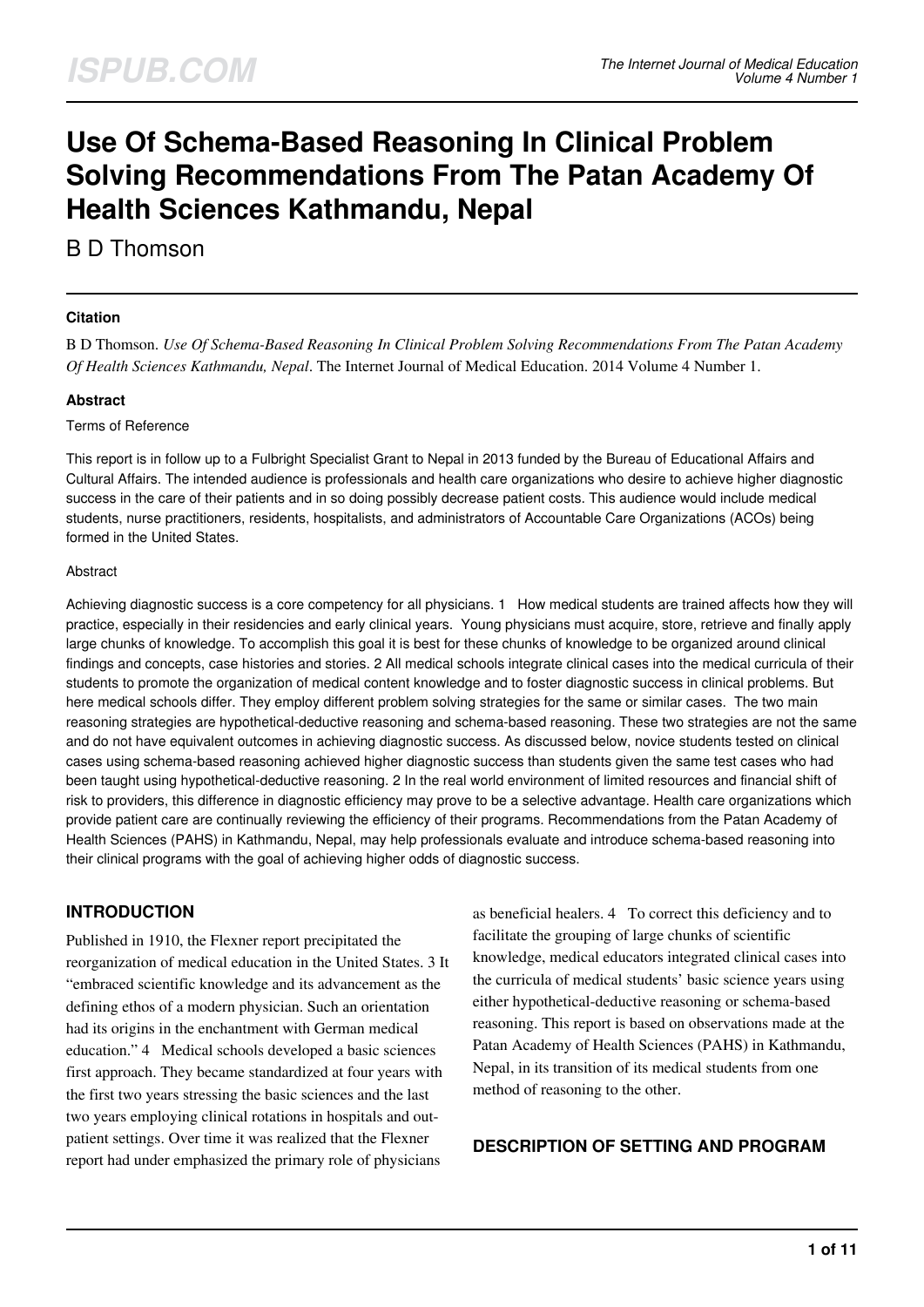# **Use Of Schema-Based Reasoning In Clinical Problem Solving Recommendations From The Patan Academy Of Health Sciences Kathmandu, Nepal**

B D Thomson

#### **Citation**

B D Thomson. *Use Of Schema-Based Reasoning In Clinical Problem Solving Recommendations From The Patan Academy Of Health Sciences Kathmandu, Nepal*. The Internet Journal of Medical Education. 2014 Volume 4 Number 1.

## **Abstract**

#### Terms of Reference

This report is in follow up to a Fulbright Specialist Grant to Nepal in 2013 funded by the Bureau of Educational Affairs and Cultural Affairs. The intended audience is professionals and health care organizations who desire to achieve higher diagnostic success in the care of their patients and in so doing possibly decrease patient costs. This audience would include medical students, nurse practitioners, residents, hospitalists, and administrators of Accountable Care Organizations (ACOs) being formed in the United States.

#### Abstract

Achieving diagnostic success is a core competency for all physicians. 1 How medical students are trained affects how they will practice, especially in their residencies and early clinical years. Young physicians must acquire, store, retrieve and finally apply large chunks of knowledge. To accomplish this goal it is best for these chunks of knowledge to be organized around clinical findings and concepts, case histories and stories. 2 All medical schools integrate clinical cases into the medical curricula of their students to promote the organization of medical content knowledge and to foster diagnostic success in clinical problems. But here medical schools differ. They employ different problem solving strategies for the same or similar cases. The two main reasoning strategies are hypothetical-deductive reasoning and schema-based reasoning. These two strategies are not the same and do not have equivalent outcomes in achieving diagnostic success. As discussed below, novice students tested on clinical cases using schema-based reasoning achieved higher diagnostic success than students given the same test cases who had been taught using hypothetical-deductive reasoning. 2 In the real world environment of limited resources and financial shift of risk to providers, this difference in diagnostic efficiency may prove to be a selective advantage. Health care organizations which provide patient care are continually reviewing the efficiency of their programs. Recommendations from the Patan Academy of Health Sciences (PAHS) in Kathmandu, Nepal, may help professionals evaluate and introduce schema-based reasoning into their clinical programs with the goal of achieving higher odds of diagnostic success.

# **INTRODUCTION**

Published in 1910, the Flexner report precipitated the reorganization of medical education in the United States. 3 It "embraced scientific knowledge and its advancement as the defining ethos of a modern physician. Such an orientation had its origins in the enchantment with German medical education." 4 Medical schools developed a basic sciences first approach. They became standardized at four years with the first two years stressing the basic sciences and the last two years employing clinical rotations in hospitals and outpatient settings. Over time it was realized that the Flexner report had under emphasized the primary role of physicians

as beneficial healers. 4 To correct this deficiency and to facilitate the grouping of large chunks of scientific knowledge, medical educators integrated clinical cases into the curricula of medical students' basic science years using either hypothetical-deductive reasoning or schema-based reasoning. This report is based on observations made at the Patan Academy of Health Sciences (PAHS) in Kathmandu, Nepal, in its transition of its medical students from one method of reasoning to the other.

## **DESCRIPTION OF SETTING AND PROGRAM**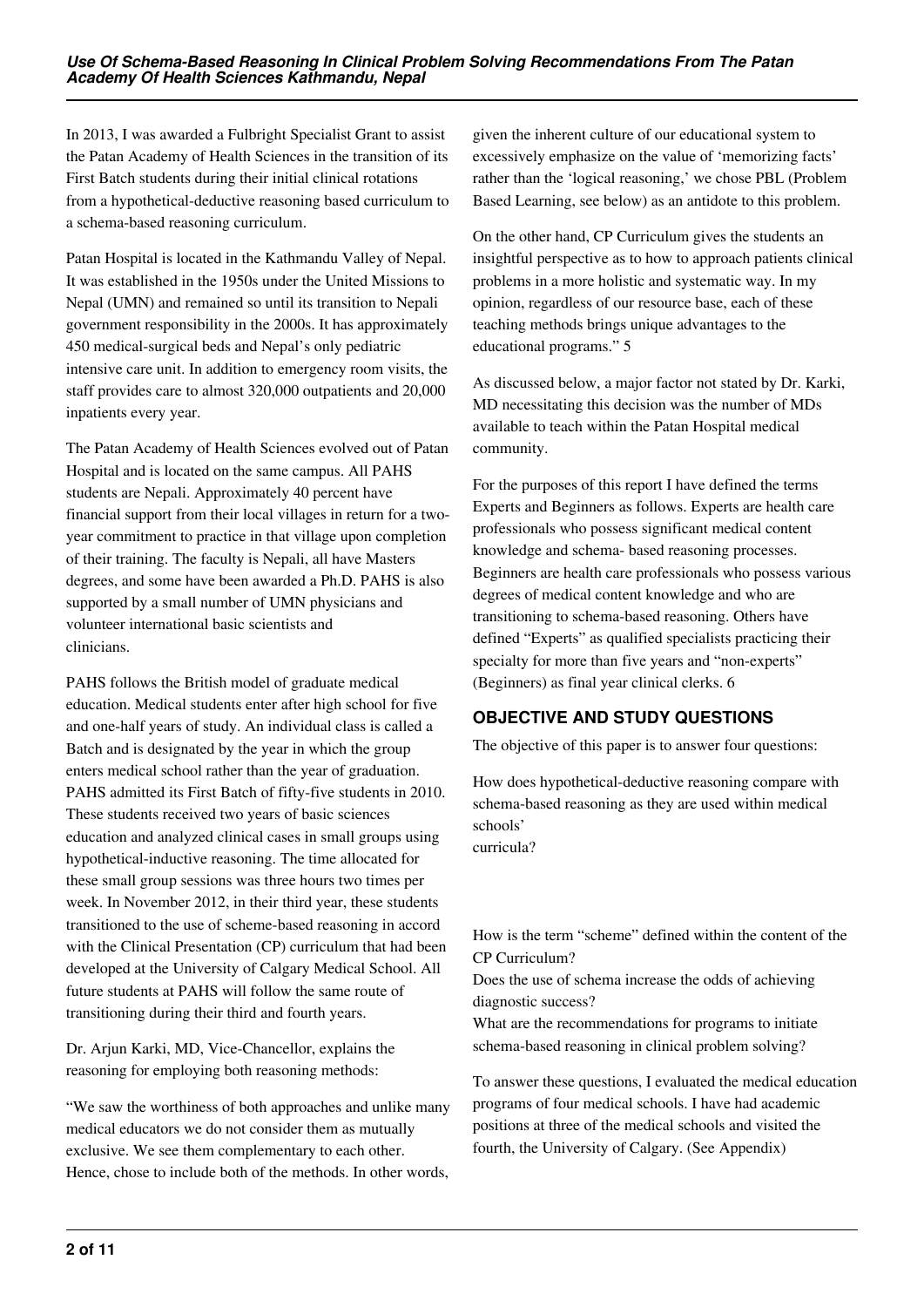In 2013, I was awarded a Fulbright Specialist Grant to assist the Patan Academy of Health Sciences in the transition of its First Batch students during their initial clinical rotations from a hypothetical-deductive reasoning based curriculum to a schema-based reasoning curriculum.

Patan Hospital is located in the Kathmandu Valley of Nepal. It was established in the 1950s under the United Missions to Nepal (UMN) and remained so until its transition to Nepali government responsibility in the 2000s. It has approximately 450 medical-surgical beds and Nepal's only pediatric intensive care unit. In addition to emergency room visits, the staff provides care to almost 320,000 outpatients and 20,000 inpatients every year.

The Patan Academy of Health Sciences evolved out of Patan Hospital and is located on the same campus. All PAHS students are Nepali. Approximately 40 percent have financial support from their local villages in return for a twoyear commitment to practice in that village upon completion of their training. The faculty is Nepali, all have Masters degrees, and some have been awarded a Ph.D. PAHS is also supported by a small number of UMN physicians and volunteer international basic scientists and clinicians.

PAHS follows the British model of graduate medical education. Medical students enter after high school for five and one-half years of study. An individual class is called a Batch and is designated by the year in which the group enters medical school rather than the year of graduation. PAHS admitted its First Batch of fifty-five students in 2010. These students received two years of basic sciences education and analyzed clinical cases in small groups using hypothetical-inductive reasoning. The time allocated for these small group sessions was three hours two times per week. In November 2012, in their third year, these students transitioned to the use of scheme-based reasoning in accord with the Clinical Presentation (CP) curriculum that had been developed at the University of Calgary Medical School. All future students at PAHS will follow the same route of transitioning during their third and fourth years.

Dr. Arjun Karki, MD, Vice-Chancellor, explains the reasoning for employing both reasoning methods:

"We saw the worthiness of both approaches and unlike many medical educators we do not consider them as mutually exclusive. We see them complementary to each other. Hence, chose to include both of the methods. In other words,

given the inherent culture of our educational system to excessively emphasize on the value of 'memorizing facts' rather than the 'logical reasoning,' we chose PBL (Problem Based Learning, see below) as an antidote to this problem.

On the other hand, CP Curriculum gives the students an insightful perspective as to how to approach patients clinical problems in a more holistic and systematic way. In my opinion, regardless of our resource base, each of these teaching methods brings unique advantages to the educational programs." 5

As discussed below, a major factor not stated by Dr. Karki, MD necessitating this decision was the number of MDs available to teach within the Patan Hospital medical community.

For the purposes of this report I have defined the terms Experts and Beginners as follows. Experts are health care professionals who possess significant medical content knowledge and schema- based reasoning processes. Beginners are health care professionals who possess various degrees of medical content knowledge and who are transitioning to schema-based reasoning. Others have defined "Experts" as qualified specialists practicing their specialty for more than five years and "non-experts" (Beginners) as final year clinical clerks. 6

# **OBJECTIVE AND STUDY QUESTIONS**

The objective of this paper is to answer four questions:

How does hypothetical-deductive reasoning compare with schema-based reasoning as they are used within medical schools'

curricula?

How is the term "scheme" defined within the content of the CP Curriculum?

Does the use of schema increase the odds of achieving diagnostic success?

What are the recommendations for programs to initiate schema-based reasoning in clinical problem solving?

To answer these questions, I evaluated the medical education programs of four medical schools. I have had academic positions at three of the medical schools and visited the fourth, the University of Calgary. (See Appendix)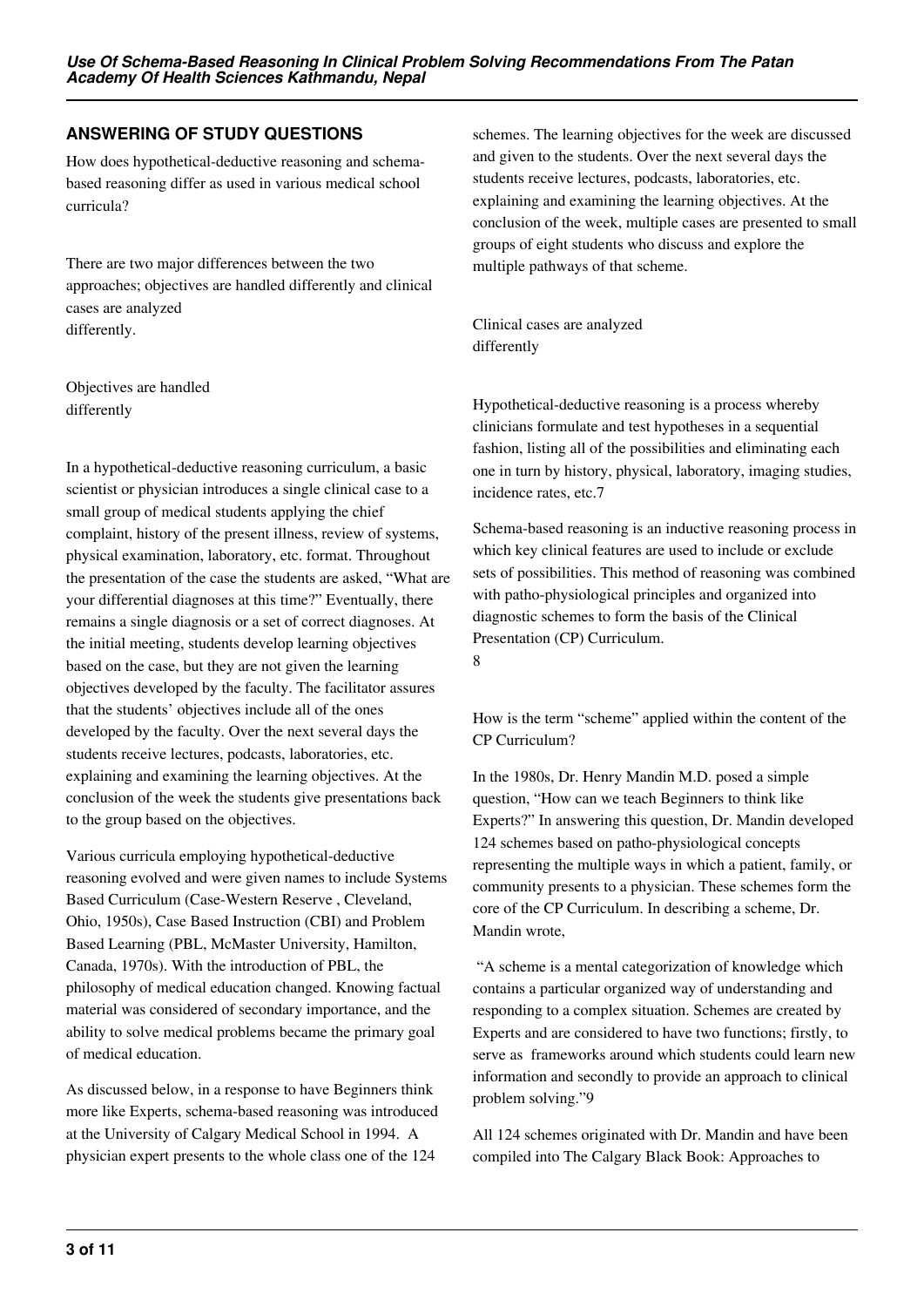# **ANSWERING OF STUDY QUESTIONS**

How does hypothetical-deductive reasoning and schemabased reasoning differ as used in various medical school curricula?

There are two major differences between the two approaches; objectives are handled differently and clinical cases are analyzed differently.

Objectives are handled differently

In a hypothetical-deductive reasoning curriculum, a basic scientist or physician introduces a single clinical case to a small group of medical students applying the chief complaint, history of the present illness, review of systems, physical examination, laboratory, etc. format. Throughout the presentation of the case the students are asked, "What are your differential diagnoses at this time?" Eventually, there remains a single diagnosis or a set of correct diagnoses. At the initial meeting, students develop learning objectives based on the case, but they are not given the learning objectives developed by the faculty. The facilitator assures that the students' objectives include all of the ones developed by the faculty. Over the next several days the students receive lectures, podcasts, laboratories, etc. explaining and examining the learning objectives. At the conclusion of the week the students give presentations back to the group based on the objectives.

Various curricula employing hypothetical-deductive reasoning evolved and were given names to include Systems Based Curriculum (Case-Western Reserve , Cleveland, Ohio, 1950s), Case Based Instruction (CBI) and Problem Based Learning (PBL, McMaster University, Hamilton, Canada, 1970s). With the introduction of PBL, the philosophy of medical education changed. Knowing factual material was considered of secondary importance, and the ability to solve medical problems became the primary goal of medical education.

As discussed below, in a response to have Beginners think more like Experts, schema-based reasoning was introduced at the University of Calgary Medical School in 1994. A physician expert presents to the whole class one of the 124

schemes. The learning objectives for the week are discussed and given to the students. Over the next several days the students receive lectures, podcasts, laboratories, etc. explaining and examining the learning objectives. At the conclusion of the week, multiple cases are presented to small groups of eight students who discuss and explore the multiple pathways of that scheme.

Clinical cases are analyzed differently

Hypothetical-deductive reasoning is a process whereby clinicians formulate and test hypotheses in a sequential fashion, listing all of the possibilities and eliminating each one in turn by history, physical, laboratory, imaging studies, incidence rates, etc.7

Schema-based reasoning is an inductive reasoning process in which key clinical features are used to include or exclude sets of possibilities. This method of reasoning was combined with patho-physiological principles and organized into diagnostic schemes to form the basis of the Clinical Presentation (CP) Curriculum. 8

How is the term "scheme" applied within the content of the CP Curriculum?

In the 1980s, Dr. Henry Mandin M.D. posed a simple question, "How can we teach Beginners to think like Experts?" In answering this question, Dr. Mandin developed 124 schemes based on patho-physiological concepts representing the multiple ways in which a patient, family, or community presents to a physician. These schemes form the core of the CP Curriculum. In describing a scheme, Dr. Mandin wrote,

 "A scheme is a mental categorization of knowledge which contains a particular organized way of understanding and responding to a complex situation. Schemes are created by Experts and are considered to have two functions; firstly, to serve as frameworks around which students could learn new information and secondly to provide an approach to clinical problem solving."9

All 124 schemes originated with Dr. Mandin and have been compiled into The Calgary Black Book: Approaches to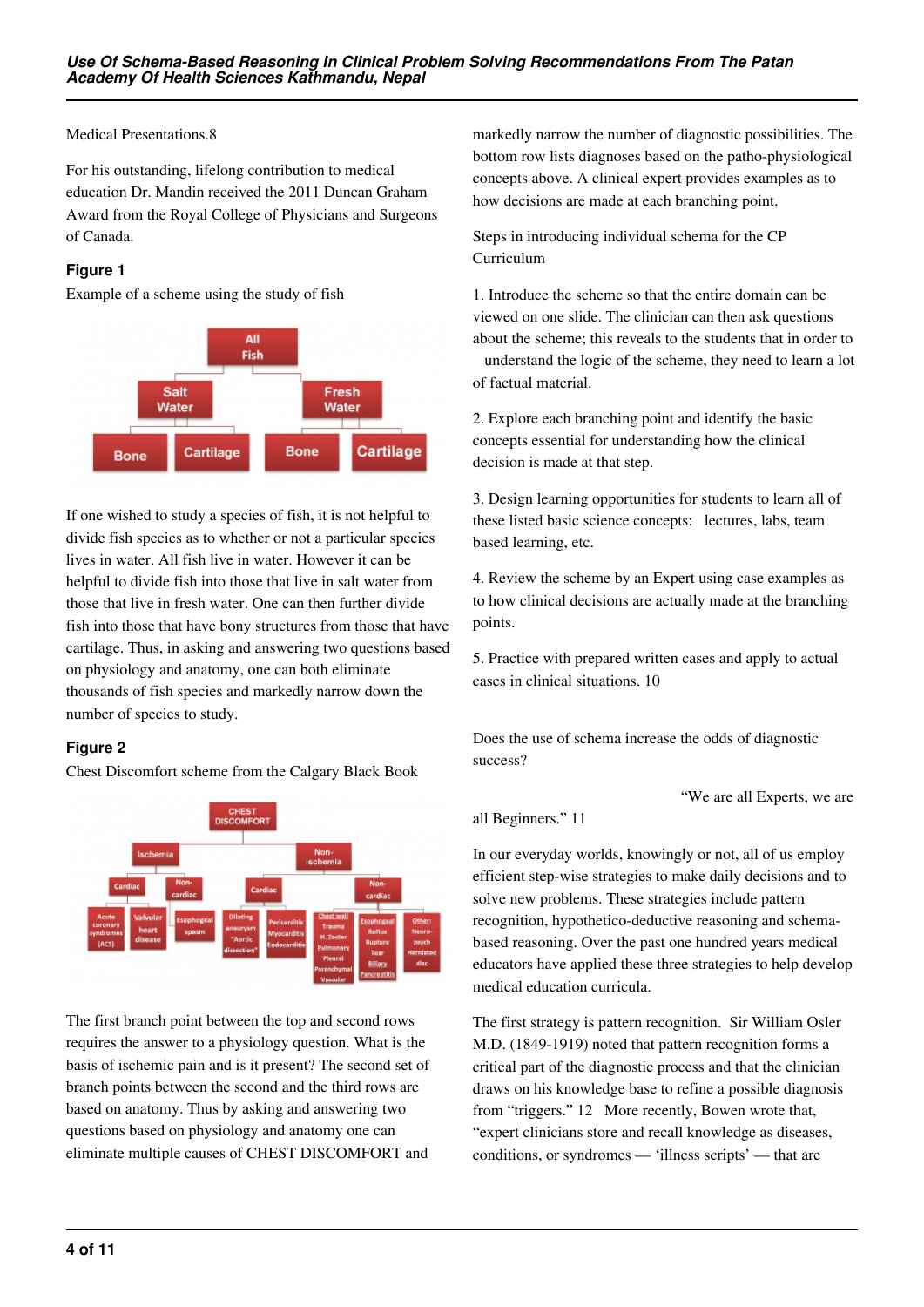Medical Presentations.8

For his outstanding, lifelong contribution to medical education Dr. Mandin received the 2011 Duncan Graham Award from the Royal College of Physicians and Surgeons of Canada.

# **Figure 1**

Example of a scheme using the study of fish



If one wished to study a species of fish, it is not helpful to divide fish species as to whether or not a particular species lives in water. All fish live in water. However it can be helpful to divide fish into those that live in salt water from those that live in fresh water. One can then further divide fish into those that have bony structures from those that have cartilage. Thus, in asking and answering two questions based on physiology and anatomy, one can both eliminate thousands of fish species and markedly narrow down the number of species to study.

# **Figure 2**

Chest Discomfort scheme from the Calgary Black Book



The first branch point between the top and second rows requires the answer to a physiology question. What is the basis of ischemic pain and is it present? The second set of branch points between the second and the third rows are based on anatomy. Thus by asking and answering two questions based on physiology and anatomy one can eliminate multiple causes of CHEST DISCOMFORT and

markedly narrow the number of diagnostic possibilities. The bottom row lists diagnoses based on the patho-physiological concepts above. A clinical expert provides examples as to how decisions are made at each branching point.

Steps in introducing individual schema for the CP Curriculum

1. Introduce the scheme so that the entire domain can be viewed on one slide. The clinician can then ask questions about the scheme; this reveals to the students that in order to

 understand the logic of the scheme, they need to learn a lot of factual material.

2. Explore each branching point and identify the basic concepts essential for understanding how the clinical decision is made at that step.

3. Design learning opportunities for students to learn all of these listed basic science concepts: lectures, labs, team based learning, etc.

4. Review the scheme by an Expert using case examples as to how clinical decisions are actually made at the branching points.

5. Practice with prepared written cases and apply to actual cases in clinical situations. 10

Does the use of schema increase the odds of diagnostic success?

all Beginners." 11

In our everyday worlds, knowingly or not, all of us employ efficient step-wise strategies to make daily decisions and to solve new problems. These strategies include pattern recognition, hypothetico-deductive reasoning and schemabased reasoning. Over the past one hundred years medical educators have applied these three strategies to help develop medical education curricula.

"We are all Experts, we are

The first strategy is pattern recognition. Sir William Osler M.D. (1849-1919) noted that pattern recognition forms a critical part of the diagnostic process and that the clinician draws on his knowledge base to refine a possible diagnosis from "triggers." 12 More recently, Bowen wrote that, "expert clinicians store and recall knowledge as diseases, conditions, or syndromes — 'illness scripts' — that are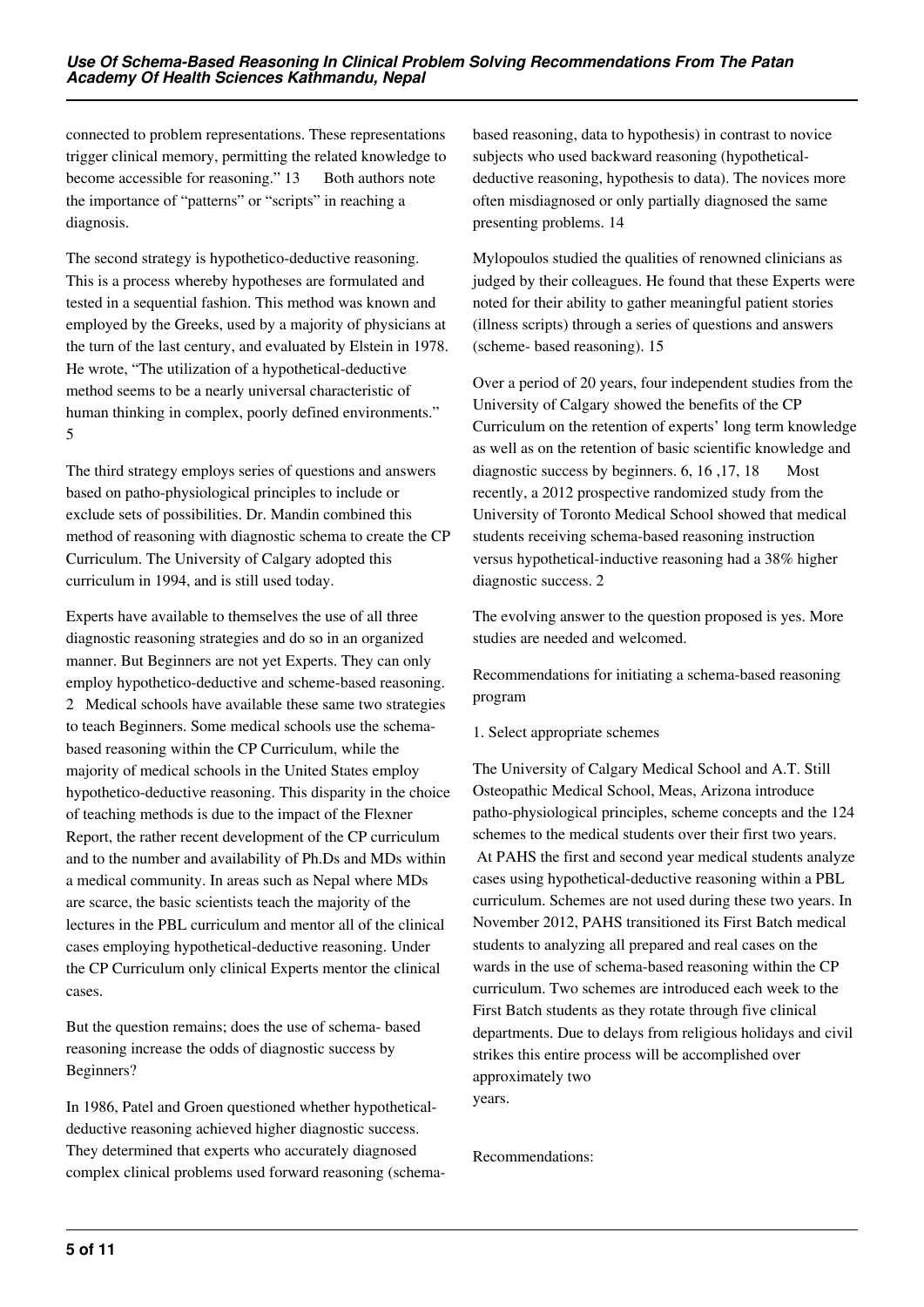connected to problem representations. These representations trigger clinical memory, permitting the related knowledge to become accessible for reasoning." 13 Both authors note the importance of "patterns" or "scripts" in reaching a diagnosis.

The second strategy is hypothetico-deductive reasoning. This is a process whereby hypotheses are formulated and tested in a sequential fashion. This method was known and employed by the Greeks, used by a majority of physicians at the turn of the last century, and evaluated by Elstein in 1978. He wrote, "The utilization of a hypothetical-deductive method seems to be a nearly universal characteristic of human thinking in complex, poorly defined environments." 5

The third strategy employs series of questions and answers based on patho-physiological principles to include or exclude sets of possibilities. Dr. Mandin combined this method of reasoning with diagnostic schema to create the CP Curriculum. The University of Calgary adopted this curriculum in 1994, and is still used today.

Experts have available to themselves the use of all three diagnostic reasoning strategies and do so in an organized manner. But Beginners are not yet Experts. They can only employ hypothetico-deductive and scheme-based reasoning. 2 Medical schools have available these same two strategies to teach Beginners. Some medical schools use the schemabased reasoning within the CP Curriculum, while the majority of medical schools in the United States employ hypothetico-deductive reasoning. This disparity in the choice of teaching methods is due to the impact of the Flexner Report, the rather recent development of the CP curriculum and to the number and availability of Ph.Ds and MDs within a medical community. In areas such as Nepal where MDs are scarce, the basic scientists teach the majority of the lectures in the PBL curriculum and mentor all of the clinical cases employing hypothetical-deductive reasoning. Under the CP Curriculum only clinical Experts mentor the clinical cases.

But the question remains; does the use of schema- based reasoning increase the odds of diagnostic success by Beginners?

In 1986, Patel and Groen questioned whether hypotheticaldeductive reasoning achieved higher diagnostic success. They determined that experts who accurately diagnosed complex clinical problems used forward reasoning (schemabased reasoning, data to hypothesis) in contrast to novice subjects who used backward reasoning (hypotheticaldeductive reasoning, hypothesis to data). The novices more often misdiagnosed or only partially diagnosed the same presenting problems. 14

Mylopoulos studied the qualities of renowned clinicians as judged by their colleagues. He found that these Experts were noted for their ability to gather meaningful patient stories (illness scripts) through a series of questions and answers (scheme- based reasoning). 15

Over a period of 20 years, four independent studies from the University of Calgary showed the benefits of the CP Curriculum on the retention of experts' long term knowledge as well as on the retention of basic scientific knowledge and diagnostic success by beginners.  $6, 16, 17, 18$  Most recently, a 2012 prospective randomized study from the University of Toronto Medical School showed that medical students receiving schema-based reasoning instruction versus hypothetical-inductive reasoning had a 38% higher diagnostic success. 2

The evolving answer to the question proposed is yes. More studies are needed and welcomed.

Recommendations for initiating a schema-based reasoning program

#### 1. Select appropriate schemes

The University of Calgary Medical School and A.T. Still Osteopathic Medical School, Meas, Arizona introduce patho-physiological principles, scheme concepts and the 124 schemes to the medical students over their first two years. At PAHS the first and second year medical students analyze cases using hypothetical-deductive reasoning within a PBL curriculum. Schemes are not used during these two years. In November 2012, PAHS transitioned its First Batch medical students to analyzing all prepared and real cases on the wards in the use of schema-based reasoning within the CP curriculum. Two schemes are introduced each week to the First Batch students as they rotate through five clinical departments. Due to delays from religious holidays and civil strikes this entire process will be accomplished over approximately two years.

Recommendations: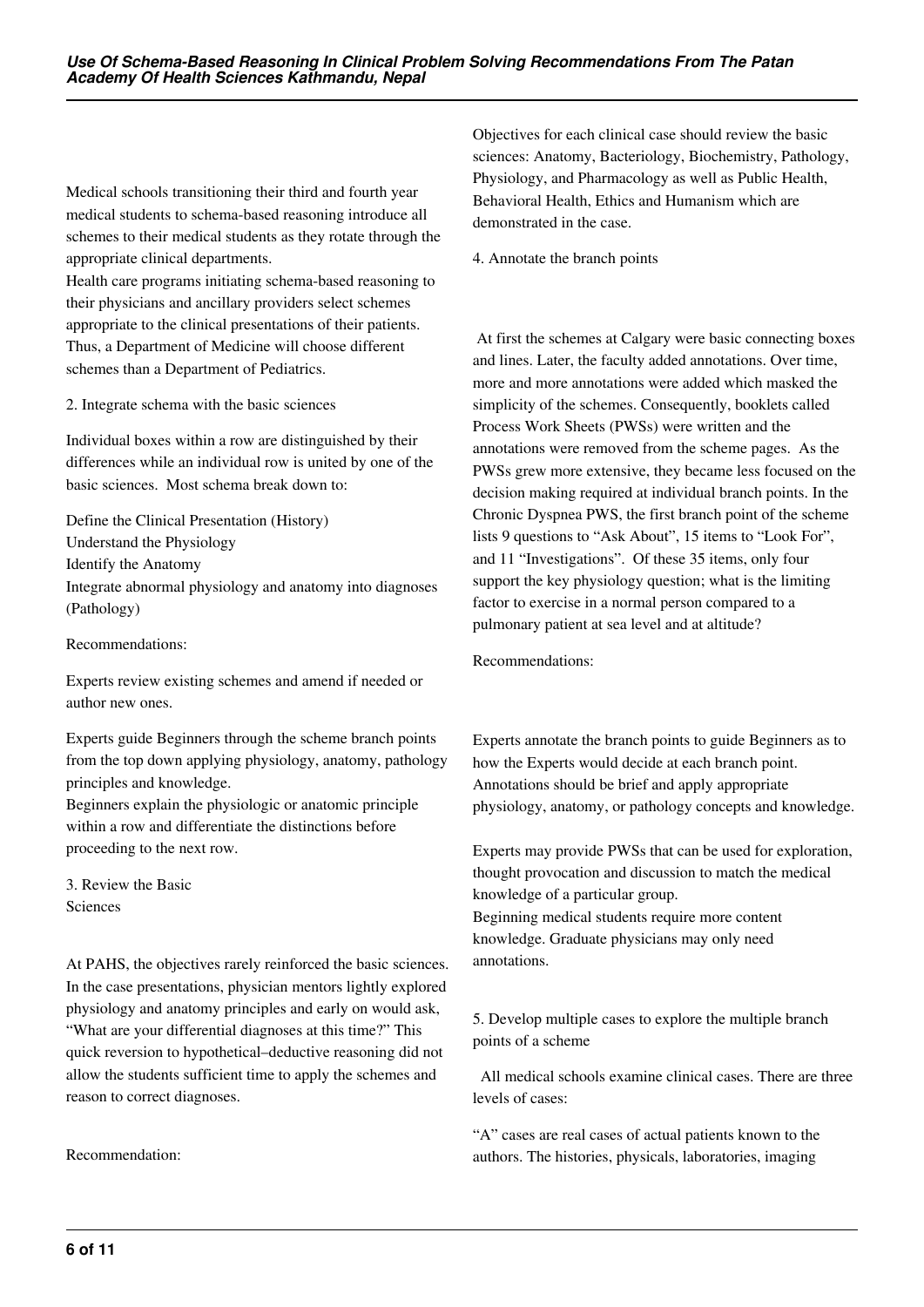Medical schools transitioning their third and fourth year medical students to schema-based reasoning introduce all schemes to their medical students as they rotate through the appropriate clinical departments.

Health care programs initiating schema-based reasoning to their physicians and ancillary providers select schemes appropriate to the clinical presentations of their patients. Thus, a Department of Medicine will choose different schemes than a Department of Pediatrics.

2. Integrate schema with the basic sciences

Individual boxes within a row are distinguished by their differences while an individual row is united by one of the basic sciences. Most schema break down to:

Define the Clinical Presentation (History) Understand the Physiology Identify the Anatomy Integrate abnormal physiology and anatomy into diagnoses (Pathology)

Recommendations:

Experts review existing schemes and amend if needed or author new ones.

Experts guide Beginners through the scheme branch points from the top down applying physiology, anatomy, pathology principles and knowledge.

Beginners explain the physiologic or anatomic principle within a row and differentiate the distinctions before proceeding to the next row.

3. Review the Basic Sciences

At PAHS, the objectives rarely reinforced the basic sciences. In the case presentations, physician mentors lightly explored physiology and anatomy principles and early on would ask, "What are your differential diagnoses at this time?" This quick reversion to hypothetical–deductive reasoning did not allow the students sufficient time to apply the schemes and reason to correct diagnoses.

Recommendation:

Objectives for each clinical case should review the basic sciences: Anatomy, Bacteriology, Biochemistry, Pathology, Physiology, and Pharmacology as well as Public Health, Behavioral Health, Ethics and Humanism which are demonstrated in the case.

4. Annotate the branch points

 At first the schemes at Calgary were basic connecting boxes and lines. Later, the faculty added annotations. Over time, more and more annotations were added which masked the simplicity of the schemes. Consequently, booklets called Process Work Sheets (PWSs) were written and the annotations were removed from the scheme pages. As the PWSs grew more extensive, they became less focused on the decision making required at individual branch points. In the Chronic Dyspnea PWS, the first branch point of the scheme lists 9 questions to "Ask About", 15 items to "Look For", and 11 "Investigations". Of these 35 items, only four support the key physiology question; what is the limiting factor to exercise in a normal person compared to a pulmonary patient at sea level and at altitude?

Recommendations:

Experts annotate the branch points to guide Beginners as to how the Experts would decide at each branch point. Annotations should be brief and apply appropriate physiology, anatomy, or pathology concepts and knowledge.

Experts may provide PWSs that can be used for exploration, thought provocation and discussion to match the medical knowledge of a particular group. Beginning medical students require more content knowledge. Graduate physicians may only need annotations.

5. Develop multiple cases to explore the multiple branch points of a scheme

 All medical schools examine clinical cases. There are three levels of cases:

"A" cases are real cases of actual patients known to the authors. The histories, physicals, laboratories, imaging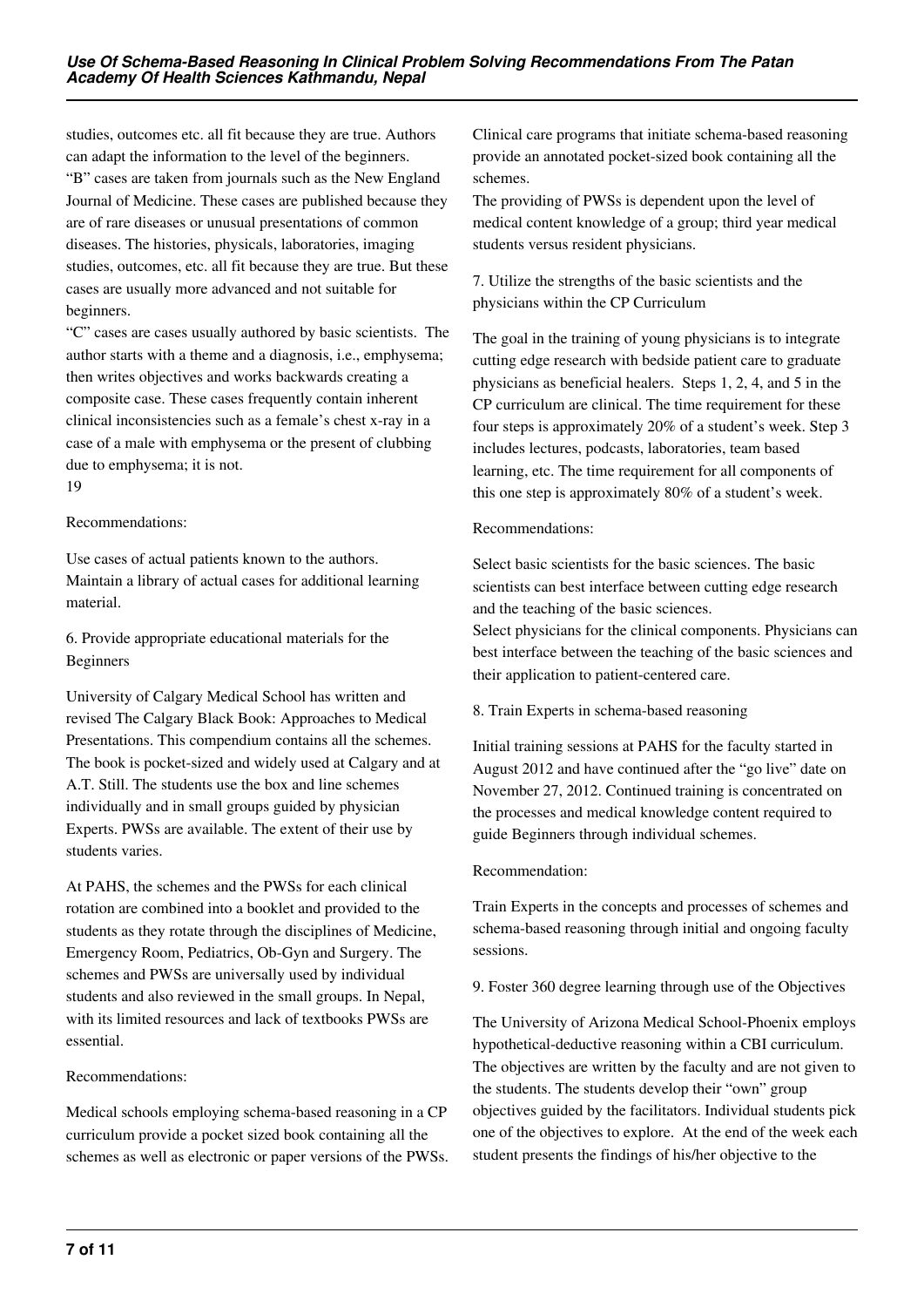studies, outcomes etc. all fit because they are true. Authors can adapt the information to the level of the beginners. "B" cases are taken from journals such as the New England Journal of Medicine. These cases are published because they are of rare diseases or unusual presentations of common diseases. The histories, physicals, laboratories, imaging studies, outcomes, etc. all fit because they are true. But these cases are usually more advanced and not suitable for beginners.

"C" cases are cases usually authored by basic scientists. The author starts with a theme and a diagnosis, i.e., emphysema; then writes objectives and works backwards creating a composite case. These cases frequently contain inherent clinical inconsistencies such as a female's chest x-ray in a case of a male with emphysema or the present of clubbing due to emphysema; it is not.

19

#### Recommendations:

Use cases of actual patients known to the authors. Maintain a library of actual cases for additional learning material.

6. Provide appropriate educational materials for the Beginners

University of Calgary Medical School has written and revised The Calgary Black Book: Approaches to Medical Presentations. This compendium contains all the schemes. The book is pocket-sized and widely used at Calgary and at A.T. Still. The students use the box and line schemes individually and in small groups guided by physician Experts. PWSs are available. The extent of their use by students varies.

At PAHS, the schemes and the PWSs for each clinical rotation are combined into a booklet and provided to the students as they rotate through the disciplines of Medicine, Emergency Room, Pediatrics, Ob-Gyn and Surgery. The schemes and PWSs are universally used by individual students and also reviewed in the small groups. In Nepal, with its limited resources and lack of textbooks PWSs are essential.

#### Recommendations:

Medical schools employing schema-based reasoning in a CP curriculum provide a pocket sized book containing all the schemes as well as electronic or paper versions of the PWSs. Clinical care programs that initiate schema-based reasoning provide an annotated pocket-sized book containing all the schemes.

The providing of PWSs is dependent upon the level of medical content knowledge of a group; third year medical students versus resident physicians.

7. Utilize the strengths of the basic scientists and the physicians within the CP Curriculum

The goal in the training of young physicians is to integrate cutting edge research with bedside patient care to graduate physicians as beneficial healers. Steps 1, 2, 4, and 5 in the CP curriculum are clinical. The time requirement for these four steps is approximately 20% of a student's week. Step 3 includes lectures, podcasts, laboratories, team based learning, etc. The time requirement for all components of this one step is approximately 80% of a student's week.

#### Recommendations:

Select basic scientists for the basic sciences. The basic scientists can best interface between cutting edge research and the teaching of the basic sciences.

Select physicians for the clinical components. Physicians can best interface between the teaching of the basic sciences and their application to patient-centered care.

#### 8. Train Experts in schema-based reasoning

Initial training sessions at PAHS for the faculty started in August 2012 and have continued after the "go live" date on November 27, 2012. Continued training is concentrated on the processes and medical knowledge content required to guide Beginners through individual schemes.

#### Recommendation:

Train Experts in the concepts and processes of schemes and schema-based reasoning through initial and ongoing faculty sessions.

9. Foster 360 degree learning through use of the Objectives

The University of Arizona Medical School-Phoenix employs hypothetical-deductive reasoning within a CBI curriculum. The objectives are written by the faculty and are not given to the students. The students develop their "own" group objectives guided by the facilitators. Individual students pick one of the objectives to explore. At the end of the week each student presents the findings of his/her objective to the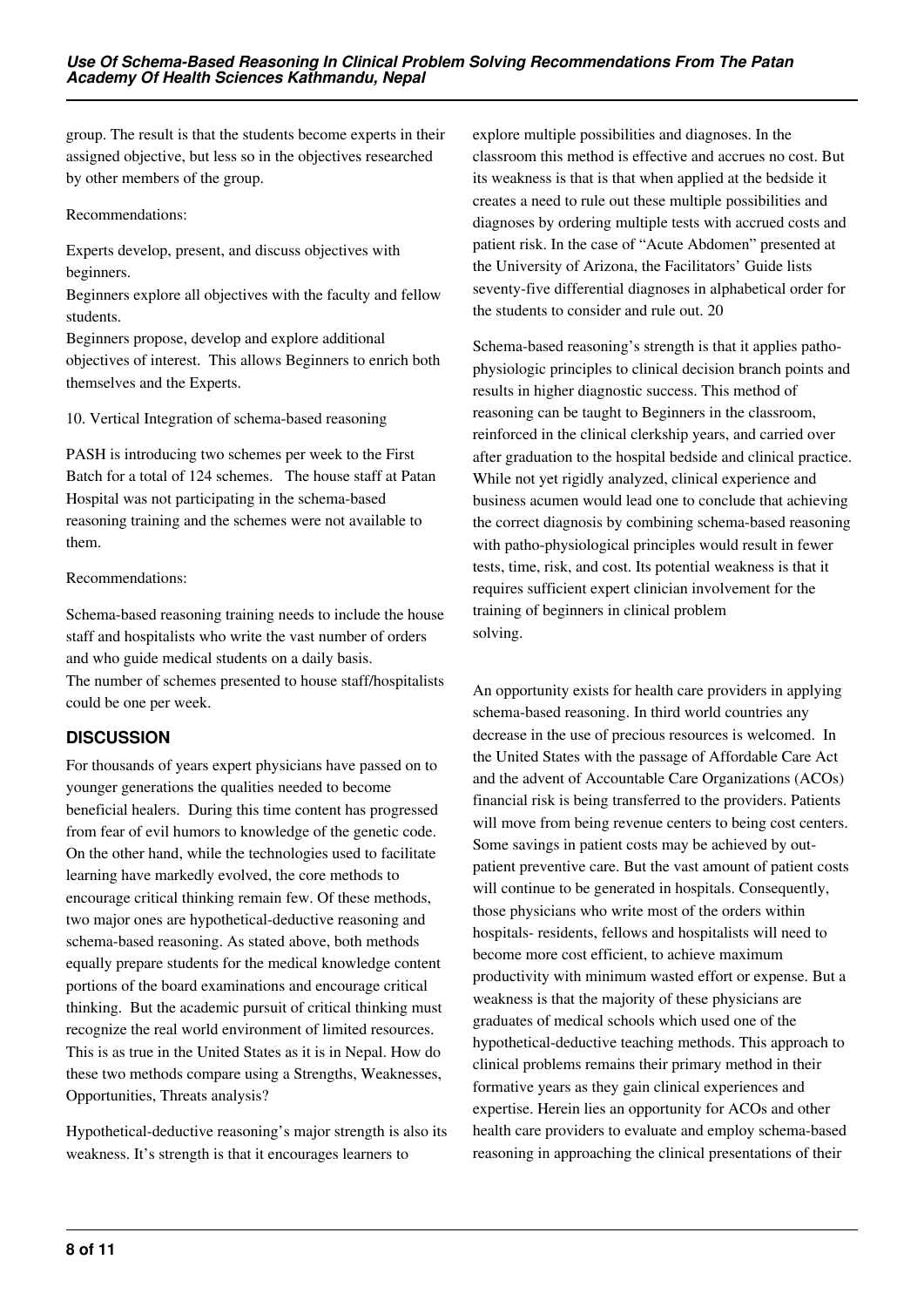group. The result is that the students become experts in their assigned objective, but less so in the objectives researched by other members of the group.

#### Recommendations:

Experts develop, present, and discuss objectives with beginners.

Beginners explore all objectives with the faculty and fellow students.

Beginners propose, develop and explore additional objectives of interest. This allows Beginners to enrich both themselves and the Experts.

10. Vertical Integration of schema-based reasoning

PASH is introducing two schemes per week to the First Batch for a total of 124 schemes. The house staff at Patan Hospital was not participating in the schema-based reasoning training and the schemes were not available to them.

#### Recommendations:

Schema-based reasoning training needs to include the house staff and hospitalists who write the vast number of orders and who guide medical students on a daily basis. The number of schemes presented to house staff/hospitalists could be one per week.

## **DISCUSSION**

For thousands of years expert physicians have passed on to younger generations the qualities needed to become beneficial healers. During this time content has progressed from fear of evil humors to knowledge of the genetic code. On the other hand, while the technologies used to facilitate learning have markedly evolved, the core methods to encourage critical thinking remain few. Of these methods, two major ones are hypothetical-deductive reasoning and schema-based reasoning. As stated above, both methods equally prepare students for the medical knowledge content portions of the board examinations and encourage critical thinking. But the academic pursuit of critical thinking must recognize the real world environment of limited resources. This is as true in the United States as it is in Nepal. How do these two methods compare using a Strengths, Weaknesses, Opportunities, Threats analysis?

Hypothetical-deductive reasoning's major strength is also its weakness. It's strength is that it encourages learners to

explore multiple possibilities and diagnoses. In the classroom this method is effective and accrues no cost. But its weakness is that is that when applied at the bedside it creates a need to rule out these multiple possibilities and diagnoses by ordering multiple tests with accrued costs and patient risk. In the case of "Acute Abdomen" presented at the University of Arizona, the Facilitators' Guide lists seventy-five differential diagnoses in alphabetical order for the students to consider and rule out. 20

Schema-based reasoning's strength is that it applies pathophysiologic principles to clinical decision branch points and results in higher diagnostic success. This method of reasoning can be taught to Beginners in the classroom, reinforced in the clinical clerkship years, and carried over after graduation to the hospital bedside and clinical practice. While not yet rigidly analyzed, clinical experience and business acumen would lead one to conclude that achieving the correct diagnosis by combining schema-based reasoning with patho-physiological principles would result in fewer tests, time, risk, and cost. Its potential weakness is that it requires sufficient expert clinician involvement for the training of beginners in clinical problem solving.

An opportunity exists for health care providers in applying schema-based reasoning. In third world countries any decrease in the use of precious resources is welcomed. In the United States with the passage of Affordable Care Act and the advent of Accountable Care Organizations (ACOs) financial risk is being transferred to the providers. Patients will move from being revenue centers to being cost centers. Some savings in patient costs may be achieved by outpatient preventive care. But the vast amount of patient costs will continue to be generated in hospitals. Consequently, those physicians who write most of the orders within hospitals- residents, fellows and hospitalists will need to become more cost efficient, to achieve maximum productivity with minimum wasted effort or expense. But a weakness is that the majority of these physicians are graduates of medical schools which used one of the hypothetical-deductive teaching methods. This approach to clinical problems remains their primary method in their formative years as they gain clinical experiences and expertise. Herein lies an opportunity for ACOs and other health care providers to evaluate and employ schema-based reasoning in approaching the clinical presentations of their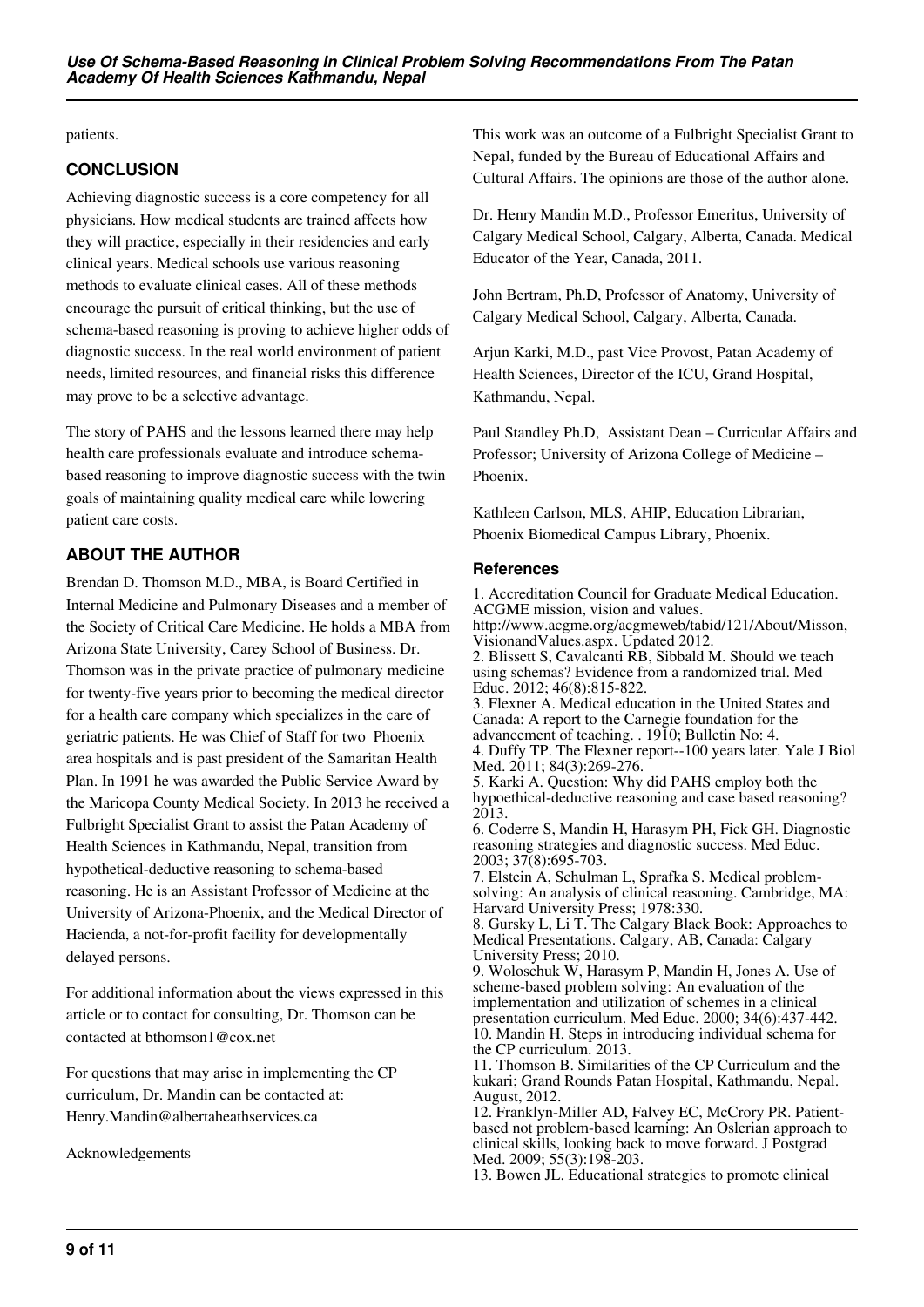patients.

## **CONCLUSION**

Achieving diagnostic success is a core competency for all physicians. How medical students are trained affects how they will practice, especially in their residencies and early clinical years. Medical schools use various reasoning methods to evaluate clinical cases. All of these methods encourage the pursuit of critical thinking, but the use of schema-based reasoning is proving to achieve higher odds of diagnostic success. In the real world environment of patient needs, limited resources, and financial risks this difference may prove to be a selective advantage.

The story of PAHS and the lessons learned there may help health care professionals evaluate and introduce schemabased reasoning to improve diagnostic success with the twin goals of maintaining quality medical care while lowering patient care costs.

# **ABOUT THE AUTHOR**

Brendan D. Thomson M.D., MBA, is Board Certified in Internal Medicine and Pulmonary Diseases and a member of the Society of Critical Care Medicine. He holds a MBA from Arizona State University, Carey School of Business. Dr. Thomson was in the private practice of pulmonary medicine for twenty-five years prior to becoming the medical director for a health care company which specializes in the care of geriatric patients. He was Chief of Staff for two Phoenix area hospitals and is past president of the Samaritan Health Plan. In 1991 he was awarded the Public Service Award by the Maricopa County Medical Society. In 2013 he received a Fulbright Specialist Grant to assist the Patan Academy of Health Sciences in Kathmandu, Nepal, transition from hypothetical-deductive reasoning to schema-based reasoning. He is an Assistant Professor of Medicine at the University of Arizona-Phoenix, and the Medical Director of Hacienda, a not-for-profit facility for developmentally delayed persons.

For additional information about the views expressed in this article or to contact for consulting, Dr. Thomson can be contacted at bthomson1@cox.net

For questions that may arise in implementing the CP curriculum, Dr. Mandin can be contacted at: Henry.Mandin@albertaheathservices.ca

Acknowledgements

This work was an outcome of a Fulbright Specialist Grant to Nepal, funded by the Bureau of Educational Affairs and Cultural Affairs. The opinions are those of the author alone.

Dr. Henry Mandin M.D., Professor Emeritus, University of Calgary Medical School, Calgary, Alberta, Canada. Medical Educator of the Year, Canada, 2011.

John Bertram, Ph.D, Professor of Anatomy, University of Calgary Medical School, Calgary, Alberta, Canada.

Arjun Karki, M.D., past Vice Provost, Patan Academy of Health Sciences, Director of the ICU, Grand Hospital, Kathmandu, Nepal.

Paul Standley Ph.D, Assistant Dean – Curricular Affairs and Professor; University of Arizona College of Medicine – Phoenix.

Kathleen Carlson, MLS, AHIP, Education Librarian, Phoenix Biomedical Campus Library, Phoenix.

## **References**

1. Accreditation Council for Graduate Medical Education. ACGME mission, vision and values. http://www.acgme.org/acgmeweb/tabid/121/About/Misson, VisionandValues.aspx. Updated 2012. 2. Blissett S, Cavalcanti RB, Sibbald M. Should we teach using schemas? Evidence from a randomized trial. Med Educ. 2012; 46(8):815-822. 3. Flexner A. Medical education in the United States and

Canada: A report to the Carnegie foundation for the advancement of teaching. . 1910; Bulletin No: 4.

4. Duffy TP. The Flexner report--100 years later. Yale J Biol Med. 2011; 84(3):269-276.

5. Karki A. Question: Why did PAHS employ both the hypoethical-deductive reasoning and case based reasoning? 2013.

6. Coderre S, Mandin H, Harasym PH, Fick GH. Diagnostic reasoning strategies and diagnostic success. Med Educ. 2003; 37(8):695-703.

7. Elstein A, Schulman L, Sprafka S. Medical problemsolving: An analysis of clinical reasoning. Cambridge, MA: Harvard University Press; 1978:330.

8. Gursky L, Li T. The Calgary Black Book: Approaches to Medical Presentations. Calgary, AB, Canada: Calgary University Press; 2010.

9. Woloschuk W, Harasym P, Mandin H, Jones A. Use of scheme-based problem solving: An evaluation of the implementation and utilization of schemes in a clinical presentation curriculum. Med Educ. 2000; 34(6):437-442. 10. Mandin H. Steps in introducing individual schema for the CP curriculum. 2013.

11. Thomson B. Similarities of the CP Curriculum and the kukari; Grand Rounds Patan Hospital, Kathmandu, Nepal. August, 2012.

12. Franklyn-Miller AD, Falvey EC, McCrory PR. Patientbased not problem-based learning: An Oslerian approach to clinical skills, looking back to move forward. J Postgrad Med. 2009; 55(3):198-203.

13. Bowen JL. Educational strategies to promote clinical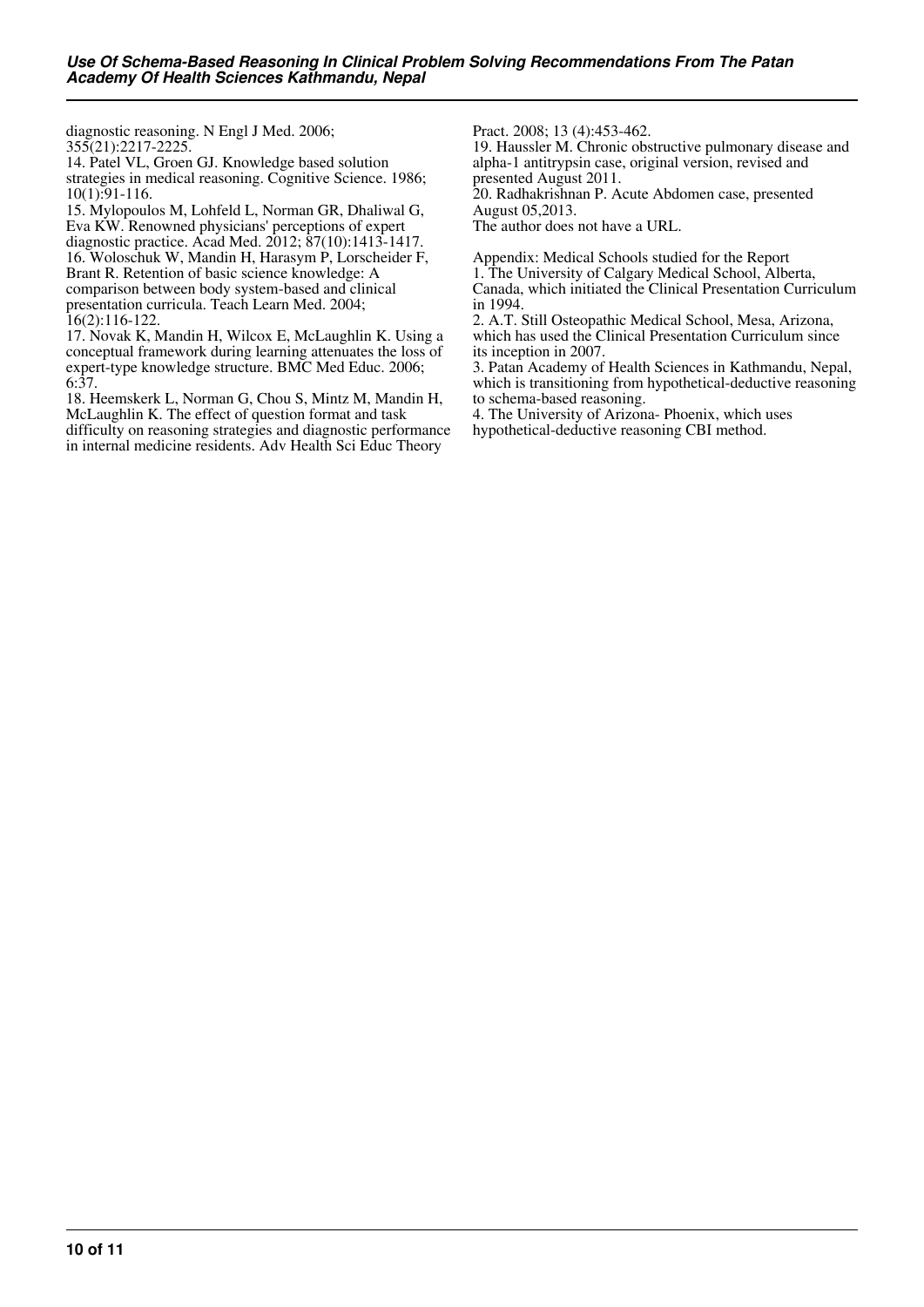diagnostic reasoning. N Engl J Med. 2006; 355(21):2217-2225.

14. Patel VL, Groen GJ. Knowledge based solution strategies in medical reasoning. Cognitive Science. 1986; 10(1):91-116.

15. Mylopoulos M, Lohfeld L, Norman GR, Dhaliwal G, Eva KW. Renowned physicians' perceptions of expert diagnostic practice. Acad Med. 2012; 87(10):1413-1417. 16. Woloschuk W, Mandin H, Harasym P, Lorscheider F, Brant R. Retention of basic science knowledge: A comparison between body system-based and clinical presentation curricula. Teach Learn Med. 2004; 16(2):116-122.

17. Novak K, Mandin H, Wilcox E, McLaughlin K. Using a conceptual framework during learning attenuates the loss of expert-type knowledge structure. BMC Med Educ. 2006; 6:37.

18. Heemskerk L, Norman G, Chou S, Mintz M, Mandin H, McLaughlin K. The effect of question format and task difficulty on reasoning strategies and diagnostic performance in internal medicine residents. Adv Health Sci Educ Theory

Pract. 2008; 13 (4):453-462.

19. Haussler M. Chronic obstructive pulmonary disease and alpha-1 antitrypsin case, original version, revised and presented August 2011.

20. Radhakrishnan P. Acute Abdomen case, presented August 05,2013.

The author does not have a URL.

Appendix: Medical Schools studied for the Report 1. The University of Calgary Medical School, Alberta,

Canada, which initiated the Clinical Presentation Curriculum in 1994.

2. A.T. Still Osteopathic Medical School, Mesa, Arizona, which has used the Clinical Presentation Curriculum since its inception in 2007.

3. Patan Academy of Health Sciences in Kathmandu, Nepal, which is transitioning from hypothetical-deductive reasoning to schema-based reasoning.

4. The University of Arizona- Phoenix, which uses hypothetical-deductive reasoning CBI method.